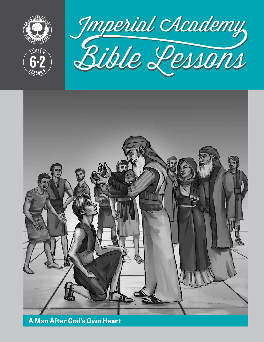

**<sup>L</sup>ES<sup>S</sup> <sup>O</sup> <sup>N</sup> <sup>2</sup>**

**6 2**



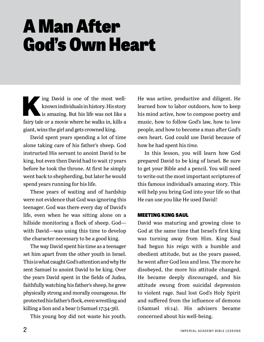# A Man After God's Own Heart

known individuals in history. His story<br>is amazing. But his life was not like a<br>state of the most vector of the most vector of the state of the state of the state of the state of the state of the state of the state of the known individuals in history. His story is amazing. But his life was not like a fairy tale or a movie where he walks in, kills a giant, wins the girl and gets crowned king.

David spent years spending a lot of time alone taking care of his father's sheep. God instructed His servant to anoint David to be king, but even then David had to wait 17 years before he took the throne. At first he simply went back to shepherding, but later he would spend years running for his life.

These years of waiting and of hardship were not evidence that God was ignoring this teenager. God was there every day of David's life, even when he was sitting alone on a hillside monitoring a flock of sheep. God with David—was using this time to develop the character necessary to be a good king.

The way David spent his time as a teenager set him apart from the other youth in Israel. This is what caught God's attention and why He sent Samuel to anoint David to be king. Over the years David spent in the fields of Judea, faithfully watching his father's sheep, he grew physically strong and morally courageous. He protected his father's flock, even wrestling and killing a lion and a bear (1 Samuel 17:34-36).

This young boy did not waste his youth.

He was active, productive and diligent. He learned how to labor outdoors, how to keep his mind active, how to compose poetry and music, how to follow God's law, how to love people, and how to become a man after God's own heart. God could use David because of how he had spent his *time.*

In this lesson, you will learn how God prepared David to be king of Israel. Be sure to get your Bible and a pencil. You will need to write out the most important scriptures of this famous individual's amazing story. This will help you bring God into your life so that He can use you like He used David!

## MEETING KING SAUL

David was maturing and growing close to God at the same time that Israel's first king was turning away from Him. King Saul had begun his reign with a humble and obedient attitude, but as the years passed, he went after God less and less. The more he disobeyed, the more his attitude changed. He became deeply discouraged, and his attitude swung from suicidal depression to violent rage. Saul lost God's Holy Spirit and suffered from the influence of demons (1 Samuel 16:14). His advisers became concerned about his well-being.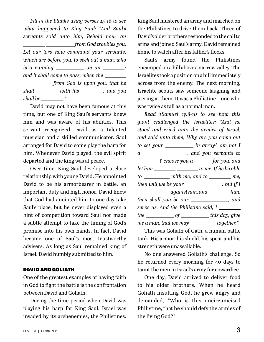*Fill in the blanks using verses 15-16 to see what happened to King Saul: "And Saul's servants said unto him, Behold now, an from God troubles you. Let our lord now command your servants, which are before you, to seek out a man, who is a cunning \_\_\_\_\_\_\_\_\_\_ on an \_\_\_\_\_\_\_: and it shall come to pass, when the from God is upon you, that he*  shall \_\_\_\_\_\_\_\_\_ with his \_\_\_\_\_\_\_\_, and you *shall be ."*

David may not have been famous at this time, but one of King Saul's servants knew him and was aware of his abilities. This servant recognized David as a talented musician and a skilled communicator. Saul arranged for David to come play the harp for him. Whenever David played, the evil spirit departed and the king was at peace.

Over time, King Saul developed a close relationship with young David. He appointed David to be his armorbearer in battle, an important duty and high honor. David knew that God had anointed him to one day take Saul's place, but he never displayed even a hint of competition toward Saul nor made a subtle attempt to take the timing of God's promise into his own hands. In fact, David became one of Saul's most trustworthy advisers. As long as Saul remained king of Israel, David humbly submitted to him.

#### DAVID AND GOLIATH

One of the greatest examples of having faith in God to fight the battle is the confrontation between David and Goliath.

During the time period when David was playing his harp for King Saul, Israel was invaded by its archenemies, the Philistines. King Saul mustered an army and marched on the Philistines to drive them back. Three of David's older brothers responded to the call to arms and joined Saul's army. David remained home to watch after his father's flocks.

Saul's army found the Philistines encamped on a hill above a narrow valley. The Israelites took a position on a hill immediately across from the enemy. The next morning, Israelite scouts saw someone laughing and jeering at them. It was a Philistine—one who was twice as tall as a normal man.

*Read 1 Samuel 17:8-10 to see how this giant challenged the Israelites: "And he stood and cried unto the armies of Israel, and said unto them, Why are you come out to set your in array? am not I a , and you servants to ? choose you a for you, and let him* \_\_\_\_\_\_\_\_\_\_\_\_\_\_\_\_\_\_\_\_\_\_ to me. If he be able *to* \_\_\_\_\_\_\_\_\_\_\_ *with me, and to* \_\_\_\_\_\_\_\_ *me, then will we be your* \_\_\_\_\_\_\_\_\_\_\_\_\_\_\_\_\_\_\_\_\_\_; but if I *against him, and him, then shall you be our \_\_\_\_\_\_\_\_\_\_\_*, and *serve us. And the Philistine said, I the of this day; give me a man, that we may together.*"

This was Goliath of Gath, a human battle tank. His armor, his shield, his spear and his strength were unassailable.

No one answered Goliath's challenge. So he returned every morning for 40 days to taunt the men in Israel's army for cowardice.

One day, David arrived to deliver food to his older brothers. When he heard Goliath insulting God, he grew angry and demanded, "Who is this uncircumcised Philistine, that he should defy the armies of the living God?"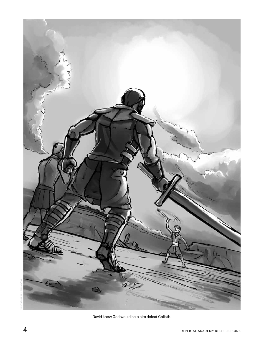

David knew God would help him defeat Goliath.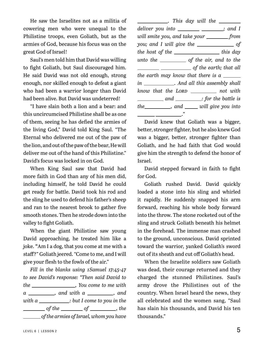He saw the Israelites not as a militia of cowering men who were unequal to the Philistine troops, even Goliath, but as the armies of God, because his focus was on the great God of Israel!

Saul's men told him that David was willing to fight Goliath, but Saul discouraged him. He said David was not old enough, strong enough, nor skilled enough to defeat a giant who had been a warrior longer than David had been alive. But David was undeterred!

"I have slain both a lion and a bear: and this uncircumcised Philistine shall be as one of them, seeing he has defied the armies of the living God," David told King Saul. "The Eternal who delivered me out of the paw of the lion, and out of the paw of the bear, He will deliver me out of the hand of this Philistine." David's focus was locked in on God.

When King Saul saw that David had more faith in God than any of his men did, including himself, he told David he could get ready for battle. David took his rod and the sling he used to defend his father's sheep and ran to the nearest brook to gather five smooth stones. Then he strode down into the valley to fight Goliath.

When the giant Philistine saw young David approaching, he treated him like a joke. **"**Am I a dog, that you come at me with a staff?" Goliath jeered. "Come to me, and I will give your flesh to the fowls of the air."

*Fill in the blanks using 1 Samuel 17:45-47 to see David's response: "Then said David to the , You come to me with a* \_\_\_\_\_\_\_\_\_, and with a \_\_\_\_\_\_\_\_, and *with a* \_\_\_\_\_\_\_\_\_\_\_\_\_\_\_\_; but I come to you in the *of the <u>of contracts</u> of <u>securing</u>, the security of*  $\frac{1}{\sqrt{2\pi}}$  *of the armies of Israel, whom you have* 

*. This day will the deliver you into* \_\_\_\_\_\_\_\_\_\_\_\_\_\_\_\_\_\_; and I *will smite you, and take your from you; and I will give the of the host of the* \_\_\_\_\_\_\_\_\_\_\_\_\_\_\_\_\_\_\_ *this day unto the of the air, and to the of the earth; that all the earth may know that there is a in . And all this assembly shall know that the LORD* not with *and* \_\_\_\_\_\_\_\_*: for the battle is the m , and will give you into ."*

David knew that Goliath was a bigger, better, stronger fighter, but he also knew God was a bigger, better, stronger fighter than Goliath, and he had faith that God would give him the strength to defend the honor of Israel.

David stepped forward in faith to fight for God.

Goliath rushed David. David quickly loaded a stone into his sling and whirled it rapidly. He suddenly snapped his arm forward, reaching his whole body forward into the throw. The stone rocketed out of the sling and struck Goliath beneath his helmet in the forehead. The immense man crashed to the ground, unconscious. David sprinted toward the warrior, yanked Goliath's sword out of its sheath and cut off Goliath's head.

When the Israelite soldiers saw Goliath was dead, their courage returned and they charged the stunned Philistines. Saul's army drove the Philistines out of the country. When Israel heard the news, they all celebrated and the women sang, "Saul has slain his thousands, and David his ten thousands."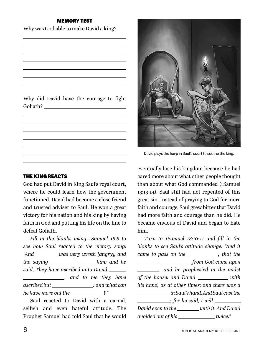#### MEMORY TEST

Why was God able to make David a king?

Why did David have the courage to fight Goliath?

#### THE KING REACTS

God had put David in King Saul's royal court, where he could learn how the government functioned. David had become a close friend and trusted adviser to Saul. He won a great victory for his nation and his king by having faith in God and putting his life on the line to defeat Goliath.

*Fill in the blanks using 1 Samuel 18:8 to see how Saul reacted to the victory song: "And was very wroth [angry], and the saying* \_\_\_\_\_\_\_\_\_\_\_\_\_\_\_\_\_\_\_\_ *him; and he said, They have ascribed unto David , and to me they have ascribed but : and what can he have more but the ?"* 

Saul reacted to David with a carnal, selfish and even hateful attitude. The Prophet Samuel had told Saul that he would



David plays the harp in Saul's court to soothe the king.

eventually lose his kingdom because he had cared more about what other people thought than about what God commanded (1 Samuel 13:13-14). Saul still had not repented of this great sin. Instead of praying to God for more faith and courage, Saul grew bitter that David had more faith and courage than he did. He became envious of David and began to hate him.

*Turn to 1 Samuel 18:10-11 and fill in the blanks to see Saul's attitude change: "And it came to pass on the* \_\_\_\_\_\_\_\_\_\_\_, that the  *from God came upon , and he prophesied in the midst of the house: and David* \_\_\_\_\_\_\_\_\_\_ *with his hand, as at other times: and there was a in Saul's hand. And Saul cast the ; for he said, I will David even to the with it. And David* 

*avoided out of his* \_\_\_\_\_\_\_\_\_\_\_\_\_\_twice."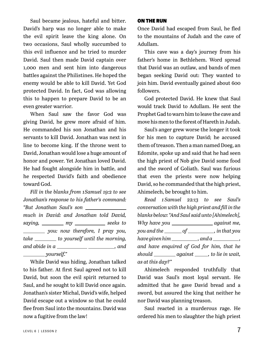Saul became jealous, hateful and bitter. David's harp was no longer able to make the evil spirit leave the king alone. On two occasions, Saul wholly succumbed to this evil influence and he tried to murder David. Saul then made David captain over 1,000 men and sent him into dangerous battles against the Philistines. He hoped the enemy would be able to kill David. Yet God protected David. In fact, God was allowing this to happen to prepare David to be an even greater warrior.

When Saul saw the favor God was giving David, he grew more afraid of him. He commanded his son Jonathan and his servants to kill David. Jonathan was next in line to become king. If the throne went to David, Jonathan would lose a huge amount of honor and power. Yet Jonathan loved David. He had fought alongside him in battle, and he respected David's faith and obedience toward God.

*Fill in the blanks from 1 Samuel 19:2 to see Jonathan's response to his father's command: "But Jonathan Saul's son much in David: and Jonathan told David, saying, \_\_\_\_\_\_\_\_\_ my \_\_\_\_\_\_\_\_\_\_\_\_ seeks to you: now therefore, I pray you, take* \_\_\_\_\_\_\_\_\_ *to yourself until the morning, and abide in a , and yourself."*

While David was hiding, Jonathan talked to his father. At first Saul agreed not to kill David, but soon the evil spirit returned to Saul, and he sought to kill David once again. Jonathan's sister Michal, David's wife, helped David escape out a window so that he could flee from Saul into the mountains. David was now a fugitive from the law!

#### ON THE RUN

Once David had escaped from Saul, he fled to the mountains of Judah and the cave of Adullam.

This cave was a day's journey from his father's home in Bethlehem. Word spread that David was an outlaw, and bands of men began seeking David out: They wanted to join him. David eventually gained about 600 followers.

God protected David. He knew that Saul would track David to Adullam. He sent the Prophet Gad to warn him to leave the cave and move his men to the forest of Hareth in Judah.

Saul's anger grew worse the longer it took for his men to capture David; he accused them of treason. Then a man named Doeg, an Edomite, spoke up and said that he had seen the high priest of Nob give David some food and the sword of Goliath. Saul was furious that even the priests were now helping David, so he commanded that the high priest, Ahimelech, be brought to him.

*Read 1 Samuel 22:13 to see Saul's conversation with the high priest and fill in the blanks below: "And Saul said unto [Ahimelech], Why have you against me, you and the* \_\_\_\_\_\_\_ of \_\_\_\_\_\_\_\_\_\_, in that you *have given him* \_\_\_\_\_\_\_\_\_\_\_, and a \_\_\_\_\_\_\_\_\_, *and have enquired of God for him, that he should* \_\_\_\_\_\_\_\_\_ *against* \_\_\_\_\_, *to lie in wait*, *as at this day?"*

Ahimelech responded truthfully that David was Saul's most loyal servant. He admitted that he gave David bread and a sword, but assured the king that neither he nor David was planning treason.

Saul reacted in a murderous rage. He ordered his men to slaughter the high priest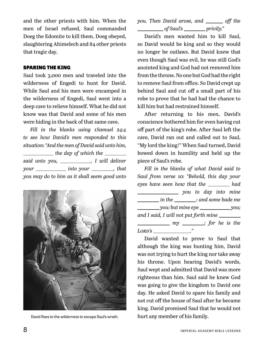and the other priests with him. When the men of Israel refused, Saul commanded Doeg the Edomite to kill them. Doeg obeyed, slaughtering Ahimelech and 84 other priests that tragic day.

#### SPARING THE KING

Saul took 3,000 men and traveled into the wilderness of Engedi to hunt for David. While Saul and his men were encamped in the wilderness of Engedi, Saul went into a deep cave to relieve himself. What he did not know was that David and some of his men were hiding in the back of that same cave.

*Fill in the blanks using 1 Samuel 24:4 to see how David's men responded to this situation: "And the men of David said unto him, the day of which the* <u>*<u></u></u></u> said unto you, , I will deliver* 

*your* \_\_\_\_\_\_\_\_\_\_\_\_\_\_\_ *into your* \_\_\_\_\_\_\_\_\_, *that you may do to him as it shall seem good unto* 



David flees to the wilderness to escape Saul's wrath. hurt any member of his family.

*you. Then David arose, and \_\_\_\_\_\_ off the of Saul's privily.*"

David's men wanted him to kill Saul, so David would be king and so they would no longer be outlaws. But David knew that even though Saul was evil, he was still God's anointed king and God had not removed him from the throne. No one but God had the right to remove Saul from office. So David crept up behind Saul and cut off a small part of his robe to prove that he had had the chance to kill him but had restrained himself.

After returning to his men, David's conscience bothered him for even having cut off part of the king's robe. After Saul left the cave, David ran out and called out to Saul, "My lord the king!" When Saul turned, David bowed down in humility and held up the piece of Saul's robe.

*Fill in the blanks of what David said to Saul from verse 10: "Behold, this day your eyes have seen how that the* \_\_\_\_\_\_\_ had  *you to day into mine in the : and some bade me you: but mine eye* \_\_\_\_\_\_\_\_\_\_\_*you; and I said, I will not put forth mine*  **my** \_\_\_\_\_; for he is the *Lord's ."*

David wanted to prove to Saul that although the king was hunting him, David was not trying to hurt the king nor take away his throne. Upon hearing David's words, Saul wept and admitted that David was more righteous than him. Saul said he knew God was going to give the kingdom to David one day. He asked David to spare his family and not cut off the house of Saul after he became king. David promised Saul that he would not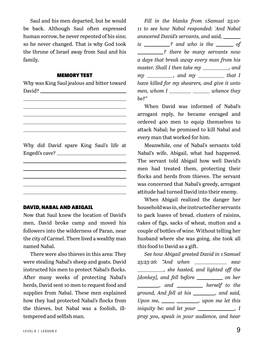Saul and his men departed, but he would be back. Although Saul often expressed human sorrow, he never repented of his sins; so he never changed. That is why God took the throne of Israel away from Saul and his family.

#### MEMORY TEST

Why was King Saul jealous and bitter toward David?

Why did David spare King Saul's life at Engedi's cave?

#### DAVID, NABAL AND ABIGAIL

Now that Saul knew the location of David's men, David broke camp and moved his followers into the wilderness of Paran, near the city of Carmel. There lived a wealthy man named Nabal.

There were also thieves in this area: They were stealing Nabal's sheep and goats. David instructed his men to protect Nabal's flocks. After many weeks of protecting Nabal's herds, David sent 10 men to request food and supplies from Nabal. These men explained how they had protected Nabal's flocks from the thieves, but Nabal was a foolish, illtempered and selfish man.

*Fill in the blanks from 1 Samuel 25:10- 11 to see how Nabal responded: " And Nabal answered David's servants, and said, is* \_\_\_\_\_\_\_\_? and who is the \_\_\_\_\_\_\_\_ of *? there be many servants now a days that break away every man from his master. Shall I then take my* \_\_\_\_\_\_\_\_\_, and *my* \_\_\_\_\_\_\_\_\_, and *my* \_\_\_\_\_\_\_\_ that I *have killed for my shearers, and give it unto men, whom* I \_\_\_\_\_\_\_\_\_\_\_ \_\_\_\_\_\_\_\_ whence they *be?"*

When David was informed of Nabal's arrogant reply, he became enraged and ordered 400 men to equip themselves to attack Nabal; he promised to kill Nabal and every man that worked for him.

Meanwhile, one of Nabal's servants told Nabal's wife, Abigail, what had happened. The servant told Abigail how well David's men had treated them, protecting their flocks and herds from thieves. The servant was concerned that Nabal's greedy, arrogant attitude had turned David into their enemy.

When Abigail realized the danger her household was in, she instructed her servants to pack loaves of bread, clusters of raisins, cakes of figs, sacks of wheat, mutton and a couple of bottles of wine. Without telling her husband where she was going, she took all this food to David as a gift.

*See how Abigail greeted David in 1 Samuel 25:23-26: "And when saw , she hasted, and lighted off the [donkey], and fell before \_\_\_\_\_\_\_\_\_ on her diacomage and <u>contract and the set</u> and the set of the angle is a metal of the set of the set of the set of the set of the set of the set of the set of the set of the set of the set of the set of the set of the set of th ground, And fell at his , and said, Upon me, \_\_\_\_\_ \_\_\_\_\_\_\_*, *upon me let this iniquity be: and let your \_\_\_\_\_\_\_\_\_\_\_, I pray you, speak in your audience, and hear*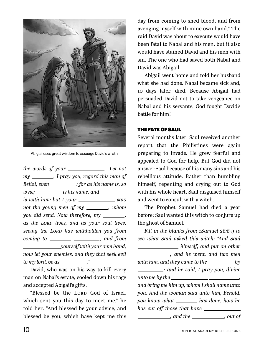

Abigail uses great wisdom to assuage David's wrath.

*the words of your . Let not my , I pray you, regard this man of Belial, even* \_\_\_\_\_\_\_\_\_\_\_\_\_: for as his name is, so *is he; is his name, and is with him: but I your* \_\_\_\_\_\_\_\_\_\_\_\_\_*saw not the young men of my \_\_\_\_\_\_*, whom *you did send. Now therefore, my \_\_\_\_\_\_\_, as the Lord lives, and as your soul lives, seeing the Lord has withholden you from coming to \_\_\_\_\_\_\_\_\_\_\_\_\_\_\_\_\_\_\_\_\_\_\_\_\_\_, and from yourself with your own hand, now let your enemies, and they that seek evil to my lord, be as ."*

David, who was on his way to kill every man on Nabal's estate, cooled down his rage and accepted Abigail's gifts.

"Blessed be the LORD God of Israel, which sent you this day to meet me," he told her. "And blessed be your advice, and blessed be you, which have kept me this day from coming to shed blood, and from avenging myself with mine own hand." The raid David was about to execute would have been fatal to Nabal and his men, but it also would have stained David and his men with sin. The one who had saved both Nabal and David was Abigail.

Abigail went home and told her husband what she had done. Nabal became sick and, 10 days later, died. Because Abigail had persuaded David not to take vengeance on Nabal and his servants, God fought David's battle for him!

#### THE FATE OF SAUL

Several months later, Saul received another report that the Philistines were again preparing to invade. He grew fearful and appealed to God for help. But God did not answer Saul because of his many sins and his rebellious attitude. Rather than humbling himself, repenting and crying out to God with his whole heart, Saul disguised himself and went to consult with a witch.

The Prophet Samuel had died a year before: Saul wanted this witch to conjure up the ghost of Samuel.

*Fill in the blanks from 1 Samuel 28:8-9 to see what Saul asked this witch: "And Saul himself, and put on other , and he went, and two men with him, and they came to the* \_\_\_\_\_\_\_\_\_\_\_\_ by *: and he said, I pray you, divine unto me by the , and bring me him up, whom I shall name unto you. And the woman said unto him, Behold, you know what* \_\_\_\_\_\_\_ has done, how he *has cut off those that have , and the , out of*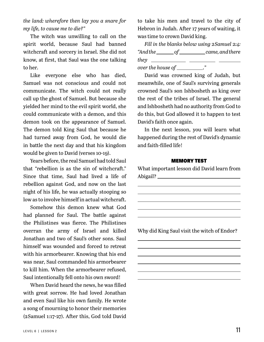*the land: wherefore then lay you a snare for my life, to cause me to die?"*

The witch was unwilling to call on the spirit world, because Saul had banned witchcraft and sorcery in Israel. She did not know, at first, that Saul was the one talking to her.

Like everyone else who has died, Samuel was not conscious and could not communicate. The witch could not really call up the ghost of Samuel. But because she yielded her mind to the evil spirit world, she could communicate with a demon, and this demon took on the appearance of Samuel. The demon told King Saul that because he had turned away from God, he would die in battle the next day and that his kingdom would be given to David (verses 10-19).

Years before, the real Samuel had told Saul that "rebellion is as the sin of witchcraft." Since that time, Saul had lived a life of rebellion against God, and now on the last night of his life, he was actually stooping so low as to involve himself in actual witchcraft.

Somehow this demon knew what God had planned for Saul. The battle against the Philistines was fierce. The Philistines overran the army of Israel and killed Jonathan and two of Saul's other sons. Saul himself was wounded and forced to retreat with his armorbearer. Knowing that his end was near, Saul commanded his armorbearer to kill him. When the armorbearer refused, Saul intentionally fell onto his own sword!

When David heard the news, he was filled with great sorrow. He had loved Jonathan and even Saul like his own family. He wrote a song of mourning to honor their memories (2 Samuel 1:17-27). After this, God told David to take his men and travel to the city of Hebron in Judah. After 17 years of waiting, it was time to crown David king.

*Fill in the blanks below using 2 Samuel 2:4:*   $\n "And the of conce, and there$ *they over the house of \_\_\_\_\_\_\_\_\_\_.*"

David was crowned king of Judah, but meanwhile, one of Saul's surviving generals crowned Saul's son Ishbosheth as king over the rest of the tribes of Israel. The general and Ishbosheth had no authority from God to do this, but God allowed it to happen to test David's faith once again.

In the next lesson, you will learn what happened during the rest of David's dynamic and faith-filled life!

#### MEMORY TEST

What important lesson did David learn from Abigail?

Why did King Saul visit the witch of Endor?